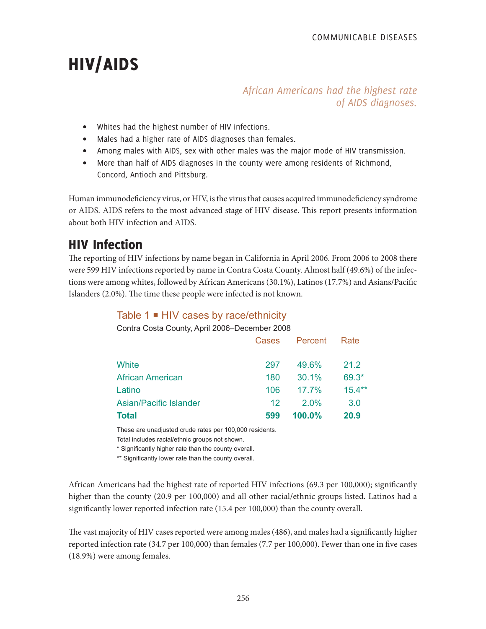# HIV/AIDS

# *African Americans had the highest rate of AIDS diagnoses.*

- Whites had the highest number of HIV infections.
- Males had a higher rate of AIDS diagnoses than females.
- Among males with AIDS, sex with other males was the major mode of HIV transmission.
- More than half of AIDS diagnoses in the county were among residents of Richmond, Concord, Antioch and Pittsburg.

Human immunodeficiency virus, or HIV, is the virus that causes acquired immunodeficiency syndrome or AIDS. AIDS refers to the most advanced stage of HIV disease. This report presents information about both HIV infection and AIDS.

# HIV Infection

The reporting of HIV infections by name began in California in April 2006. From 2006 to 2008 there were 599 HIV infections reported by name in Contra Costa County. Almost half (49.6%) of the infections were among whites, followed by African Americans (30.1%), Latinos (17.7%) and Asians/Pacific Islanders (2.0%). The time these people were infected is not known.

# Table  $1 \blacksquare$  HIV cases by race/ethnicity

Contra Costa County, April 2006–December 2008

|                         | Cases   | Percent   | Rate     |  |
|-------------------------|---------|-----------|----------|--|
| White                   | 297     | 49.6%     | 21.2     |  |
| <b>African American</b> | 180     | $30.1\%$  | $69.3*$  |  |
| Latino                  | 106     | $17.7\%$  | $15.4**$ |  |
| Asian/Pacific Islander  | $12 \,$ | $2.0\%$   | 3.0      |  |
| <b>Total</b>            | 599     | $100.0\%$ | 20.9     |  |

These are unadjusted crude rates per 100,000 residents. Total includes racial/ethnic groups not shown.

\* Significantly higher rate than the county overall.

\*\* Significantly lower rate than the county overall.

African Americans had the highest rate of reported HIV infections (69.3 per 100,000); significantly higher than the county (20.9 per 100,000) and all other racial/ethnic groups listed. Latinos had a significantly lower reported infection rate (15.4 per 100,000) than the county overall.

The vast majority of HIV cases reported were among males (486), and males had a significantly higher reported infection rate (34.7 per 100,000) than females (7.7 per 100,000). Fewer than one in five cases (18.9%) were among females.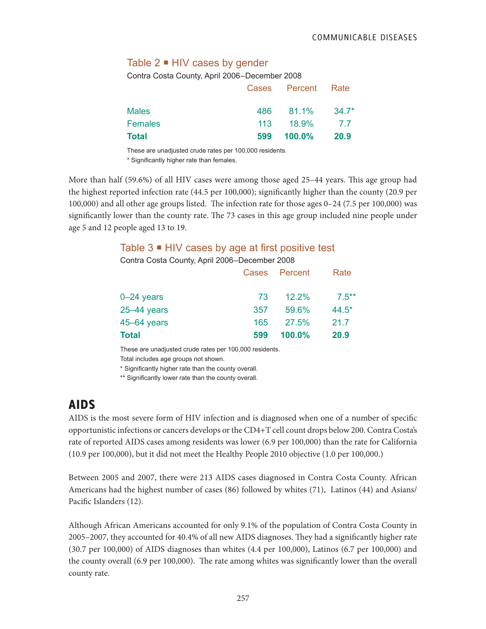### Table  $2 \blacksquare$  HIV cases by gender

Contra Costa County, April 2006–December 2008

|                |     | Cases Percent Rate |             |
|----------------|-----|--------------------|-------------|
| <b>Males</b>   |     | 486 81.1% 34.7*    |             |
| <b>Females</b> |     | 113 18.9%          | 77          |
| <b>Total</b>   | 599 | $100.0\%$          | <b>20.9</b> |

These are unadjusted crude rates per 100,000 residents.

\* Significantly higher rate than females.

More than half (59.6%) of all HIV cases were among those aged 25–44 years. This age group had the highest reported infection rate (44.5 per 100,000); significantly higher than the county (20.9 per 100,000) and all other age groups listed. The infection rate for those ages 0–24 (7.5 per 100,000) was significantly lower than the county rate. The 73 cases in this age group included nine people under age 5 and 12 people aged 13 to 19.

#### Table  $3 \blacksquare$  HIV cases by age at first positive test

Contra Costa County, April 2006–December 2008

| <b>Total</b>    | 599 | $100.0\%$     | 20.9     |
|-----------------|-----|---------------|----------|
| $45 - 64$ years | 165 | 27.5%         | 21.7     |
| $25 - 44$ years | 357 | 59.6%         | $44.5*$  |
| $0 - 24$ years  | 73  | $12.2\%$      | $7.5***$ |
|                 |     | Cases Percent | Rate     |

These are unadjusted crude rates per 100,000 residents.

Total includes age groups not shown.

\* Significantly higher rate than the county overall.

\*\* Significantly lower rate than the county overall.

# AIDS

AIDS is the most severe form of HIV infection and is diagnosed when one of a number of specific opportunistic infections or cancers develops or the CD4+T cell count drops below 200. Contra Costa's rate of reported AIDS cases among residents was lower (6.9 per 100,000) than the rate for California (10.9 per 100,000), but it did not meet the Healthy People 2010 objective (1.0 per 100,000.)

Between 2005 and 2007, there were 213 AIDS cases diagnosed in Contra Costa County. African Americans had the highest number of cases (86) followed by whites (71), Latinos (44) and Asians/ Pacific Islanders (12).

Although African Americans accounted for only 9.1% of the population of Contra Costa County in 2005–2007, they accounted for 40.4% of all new AIDS diagnoses. They had a significantly higher rate (30.7 per 100,000) of AIDS diagnoses than whites (4.4 per 100,000), Latinos (6.7 per 100,000) and the county overall (6.9 per 100,000). The rate among whites was significantly lower than the overall county rate.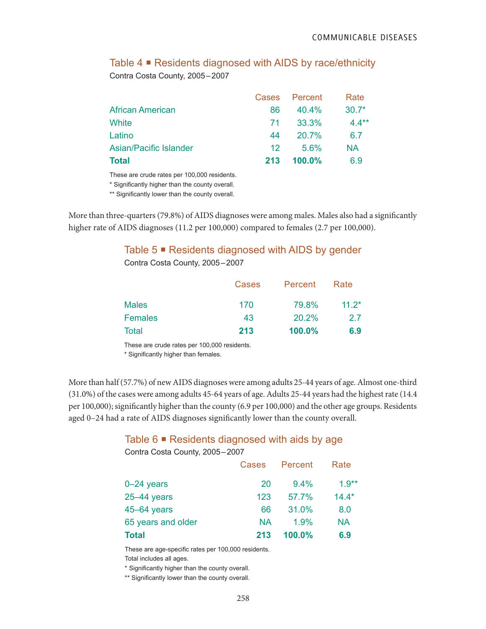# Table 4 **■** Residents diagnosed with AIDS by race/ethnicity

Contra Costa County, 2005–2007

|                         |                 | Cases Percent | Rate    |
|-------------------------|-----------------|---------------|---------|
| <b>African American</b> | 86              | $40.4\%$      | $30.7*$ |
| White                   | 71              | 33.3%         | $4.4**$ |
| Latino                  | 44              | $20.7\%$      | 67      |
| Asian/Pacific Islander  | 12 <sup>°</sup> | 5.6%          | NA      |
| <b>Total</b>            | 213             | $100.0\%$     | 6.9     |

These are crude rates per 100,000 residents.

\* Significantly higher than the county overall.

\*\* Significantly lower than the county overall.

More than three-quarters (79.8%) of AIDS diagnoses were among males. Males also had a significantly higher rate of AIDS diagnoses (11.2 per 100,000) compared to females (2.7 per 100,000).

# Table 5 ■ Residents diagnosed with AIDS by gender

Contra Costa County, 2005–2007

|                | Cases | Percent | Rate    |
|----------------|-------|---------|---------|
| <b>Males</b>   | 170   | 79.8%   | $11.2*$ |
| <b>Females</b> | 43    | 20.2%   | 27      |
| Total          | 213   | 100.0%  | 6.9     |

These are crude rates per 100,000 residents.

\* Significantly higher than females.

More than half (57.7%) of new AIDS diagnoses were among adults 25-44 years of age. Almost one-third (31.0%) of the cases were among adults 45-64 years of age. Adults 25-44 years had the highest rate (14.4 per 100,000); significantly higher than the county (6.9 per 100,000) and the other age groups. Residents aged 0–24 had a rate of AIDS diagnoses significantly lower than the county overall.

### Table 6  $\blacksquare$  Residents diagnosed with aids by age

| Contra Costa County, 2005-2007 |       |           |           |
|--------------------------------|-------|-----------|-----------|
|                                | Cases | Percent   | Rate      |
| $0 - 24$ years                 | 20    | 9.4%      | $1.9**$   |
| $25 - 44$ years                | 123   | 57.7%     | $14.4*$   |
| 45-64 years                    | 66    | 31.0%     | 8.0       |
| 65 years and older             | ΝA    | 1.9%      | <b>NA</b> |
| <b>Total</b>                   | 213   | $100.0\%$ | 6.9       |

These are age-specific rates per 100,000 residents. Total includes all ages.

\* Significantly higher than the county overall.

\*\* Significantly lower than the county overall.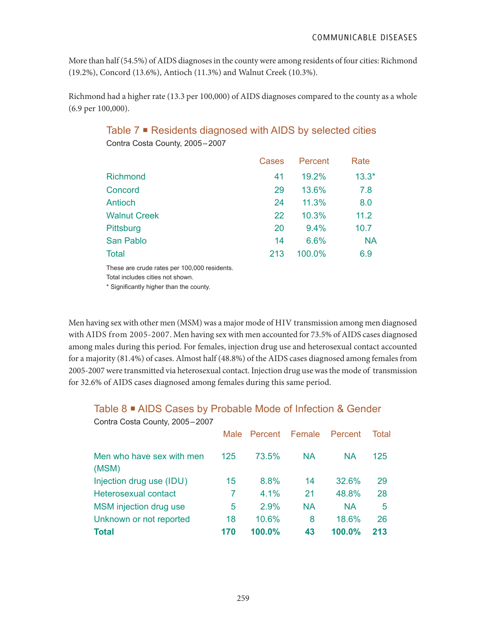More than half (54.5%) of AIDS diagnoses in the county were among residents of four cities: Richmond (19.2%), Concord (13.6%), Antioch (11.3%) and Walnut Creek (10.3%).

Richmond had a higher rate (13.3 per 100,000) of AIDS diagnoses compared to the county as a whole (6.9 per 100,000).

|                     | Cases | Percent | Rate      |
|---------------------|-------|---------|-----------|
| Richmond            | 41    | 19.2%   | $13.3*$   |
| Concord             | 29    | 13.6%   | 7.8       |
| Antioch             | 24    | 11.3%   | 8.0       |
| <b>Walnut Creek</b> | 22    | 10.3%   | 11.2      |
| Pittsburg           | 20    | 9.4%    | 10.7      |
| San Pablo           | 14    | 6.6%    | <b>NA</b> |
| <b>Total</b>        | 213   | 100.0%  | 6.9       |
|                     |       |         |           |

#### Table 7 ■ Residents diagnosed with AIDS by selected cities Contra Costa County, 2005–2007

These are crude rates per 100,000 residents.

Total includes cities not shown.

\* Significantly higher than the county.

Men having sex with other men (MSM) was a major mode of HIV transmission among men diagnosed with AIDS from 2005-2007. Men having sex with men accounted for 73.5% of AIDS cases diagnosed among males during this period. For females, injection drug use and heterosexual contact accounted for a majority (81.4%) of cases. Almost half (48.8%) of the AIDS cases diagnosed among females from 2005-2007 were transmitted via heterosexual contact. Injection drug use was the mode of transmission for 32.6% of AIDS cases diagnosed among females during this same period.

# Table 8 ■ AIDS Cases by Probable Mode of Infection & Gender

|                                    | Male | Percent | Female    | Percent   | Total |
|------------------------------------|------|---------|-----------|-----------|-------|
| Men who have sex with men<br>(MSM) | 125  | 73.5%   | <b>NA</b> | <b>NA</b> | 125   |
| Injection drug use (IDU)           | 15   | 8.8%    | 14        | 32.6%     | 29    |
| Heterosexual contact               | 7    | 4.1%    | 21        | 48.8%     | 28    |
| MSM injection drug use             | 5    | 2.9%    | <b>NA</b> | <b>NA</b> | 5     |
| Unknown or not reported            | 18   | 10.6%   | 8         | 18.6%     | 26    |
| <b>Total</b>                       | 170  | 100.0%  | 43        | $100.0\%$ | 213   |

Contra Costa County, 2005–2007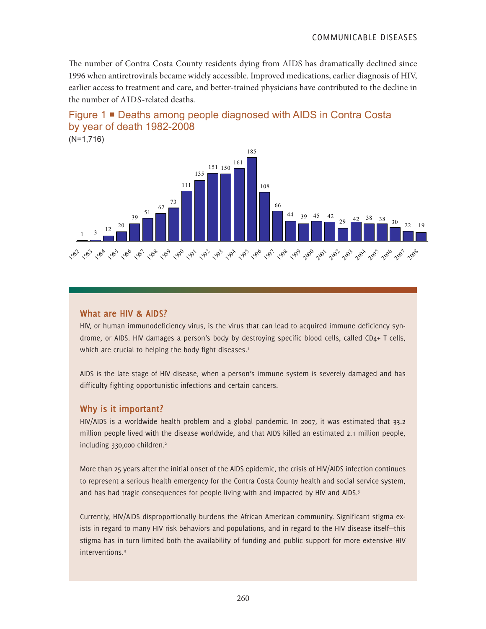COMMUNICABLE DISEASES

The number of Contra Costa County residents dying from AIDS has dramatically declined since 1996 when antiretrovirals became widely accessible. Improved medications, earlier diagnosis of HIV, earlier access to treatment and care, and better-trained physicians have contributed to the decline in the number of AIDS-related deaths.



(N=1,716)



#### **What are HIV & AIDS?**

HIV, or human immunodeficiency virus, is the virus that can lead to acquired immune deficiency syndrome, or AIDS. HIV damages a person's body by destroying specific blood cells, called CD4+ T cells, which are crucial to helping the body fight diseases.<sup>1</sup>

AIDS is the late stage of HIV disease, when a person's immune system is severely damaged and has difficulty fighting opportunistic infections and certain cancers.

#### **Why is it important?**

HIV/AIDS is a worldwide health problem and a global pandemic. In 2007, it was estimated that 33.2 million people lived with the disease worldwide, and that AIDS killed an estimated 2.1 million people, including 330,000 children.<sup>2</sup>

More than 25 years after the initial onset of the AIDS epidemic, the crisis of HIV/AIDS infection continues to represent a serious health emergency for the Contra Costa County health and social service system, and has had tragic consequences for people living with and impacted by HIV and AIDS.<sup>3</sup>

Currently, HIV/AIDS disproportionally burdens the African American community. Significant stigma exists in regard to many HIV risk behaviors and populations, and in regard to the HIV disease itself—this stigma has in turn limited both the availability of funding and public support for more extensive HIV interventions.3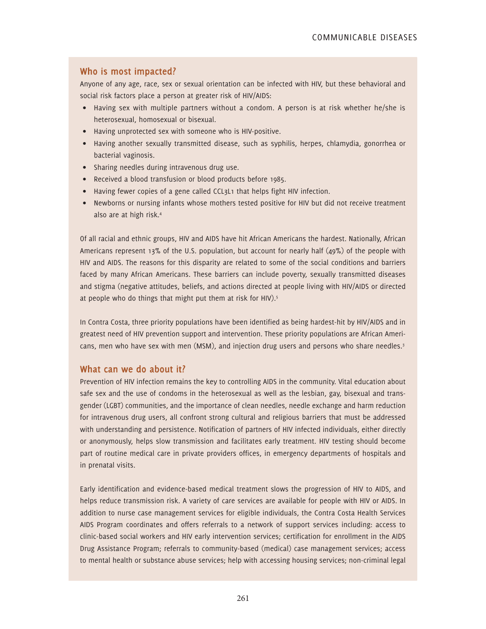### **Who is most impacted?**

Anyone of any age, race, sex or sexual orientation can be infected with HIV, but these behavioral and social risk factors place a person at greater risk of HIV/AIDS:

- Having sex with multiple partners without a condom. A person is at risk whether he/she is heterosexual, homosexual or bisexual.
- Having unprotected sex with someone who is HIV-positive.
- Having another sexually transmitted disease, such as syphilis, herpes, chlamydia, gonorrhea or bacterial vaginosis.
- Sharing needles during intravenous drug use.
- Received a blood transfusion or blood products before 1985.
- Having fewer copies of a gene called CCL3L1 that helps fight HIV infection.
- Newborns or nursing infants whose mothers tested positive for HIV but did not receive treatment also are at high risk.4

Of all racial and ethnic groups, HIV and AIDS have hit African Americans the hardest. Nationally, African Americans represent 13% of the U.S. population, but account for nearly half (49%) of the people with HIV and AIDS. The reasons for this disparity are related to some of the social conditions and barriers faced by many African Americans. These barriers can include poverty, sexually transmitted diseases and stigma (negative attitudes, beliefs, and actions directed at people living with HIV/AIDS or directed at people who do things that might put them at risk for HIV).<sup>5</sup>

In Contra Costa, three priority populations have been identified as being hardest-hit by HIV/AIDS and in greatest need of HIV prevention support and intervention. These priority populations are African Americans, men who have sex with men (MSM), and injection drug users and persons who share needles.<sup>3</sup>

#### **What can we do about it?**

Prevention of HIV infection remains the key to controlling AIDS in the community. Vital education about safe sex and the use of condoms in the heterosexual as well as the lesbian, gay, bisexual and transgender (LGBT) communities, and the importance of clean needles, needle exchange and harm reduction for intravenous drug users, all confront strong cultural and religious barriers that must be addressed with understanding and persistence. Notification of partners of HIV infected individuals, either directly or anonymously, helps slow transmission and facilitates early treatment. HIV testing should become part of routine medical care in private providers offices, in emergency departments of hospitals and in prenatal visits.

Early identification and evidence-based medical treatment slows the progression of HIV to AIDS, and helps reduce transmission risk. A variety of care services are available for people with HIV or AIDS. In addition to nurse case management services for eligible individuals, the Contra Costa Health Services AIDS Program coordinates and offers referrals to a network of support services including: access to clinic-based social workers and HIV early intervention services; certification for enrollment in the AIDS Drug Assistance Program; referrals to community-based (medical) case management services; access to mental health or substance abuse services; help with accessing housing services; non-criminal legal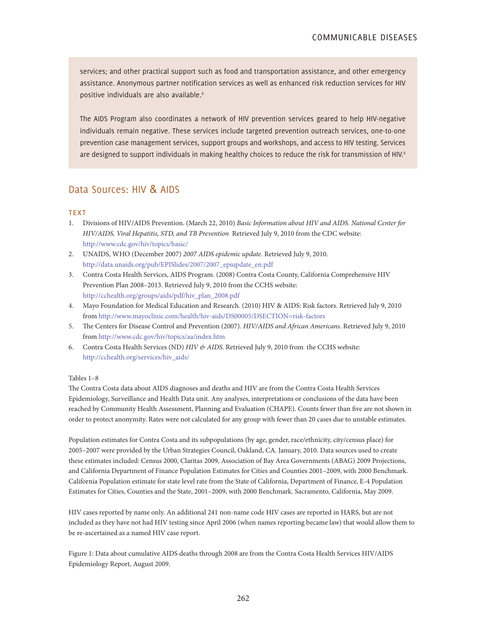services; and other practical support such as food and transportation assistance, and other emergency assistance. Anonymous partner notification services as well as enhanced risk reduction services for HIV positive individuals are also available.6

The AIDS Program also coordinates a network of HIV prevention services geared to help HIV-negative individuals remain negative. These services include targeted prevention outreach services, one-to-one prevention case management services, support groups and workshops, and access to HIV testing. Services are designed to support individuals in making healthy choices to reduce the risk for transmission of HIV.<sup>6</sup>

## Data Sources: HIV & AIDS

#### **TEXT**

- 1. Divisions of HIV/AIDS Prevention. (March 22, 2010) *Basic Information about HIV and AIDS. National Center for HIV/AIDS, Viral Hepatitis, STD, and TB Prevention* Retrieved July 9, 2010 from the CDC website: http://www.cdc.gov/hiv/topics/basic/
- 2. UNAIDS, WHO (December 2007) *2007 AIDS epidemic update*. Retrieved July 9, 2010. http://data.unaids.org/pub/EPISlides/2007/2007\_epiupdate\_en.pdf
- 3. Contra Costa Health Services, AIDS Program. (2008) Contra Costa County, California Comprehensive HIV Prevention Plan 2008–2013. Retrieved July 9, 2010 from the CCHS website: http://cchealth.org/groups/aids/pdf/hiv\_plan\_2008.pdf
- 4. Mayo Foundation for Medical Education and Research. (2010) HIV & AIDS: Risk factors. Retrieved July 9, 2010 from http://www.mayoclinic.com/health/hiv-aids/DS00005/DSECTION=risk-factors
- 5. The Centers for Disease Control and Prevention (2007). *HIV/AIDS and African Americans*. Retrieved July 9, 2010 from http://www.cdc.gov/hiv/topics/aa/index.htm
- 6. Contra Costa Health Services (ND) *HIV & AIDS*. Retrieved July 9, 2010 from the CCHS website: http://cchealth.org/services/hiv\_aids/

#### Tables 1–8

The Contra Costa data about AIDS diagnoses and deaths and HIV are from the Contra Costa Health Services Epidemiology, Surveillance and Health Data unit. Any analyses, interpretations or conclusions of the data have been reached by Community Health Assessment, Planning and Evaluation (CHAPE). Counts fewer than five are not shown in order to protect anonymity. Rates were not calculated for any group with fewer than 20 cases due to unstable estimates.

Population estimates for Contra Costa and its subpopulations (by age, gender, race/ethnicity, city/census place) for 2005–2007 were provided by the Urban Strategies Council, Oakland, CA. January, 2010. Data sources used to create these estimates included: Census 2000, Claritas 2009, Association of Bay Area Governments (ABAG) 2009 Projections, and California Department of Finance Population Estimates for Cities and Counties 2001–2009, with 2000 Benchmark. California Population estimate for state level rate from the State of California, Department of Finance, E-4 Population Estimates for Cities, Counties and the State, 2001–2009, with 2000 Benchmark. Sacramento, California, May 2009.

HIV cases reported by name only. An additional 241 non-name code HIV cases are reported in HARS, but are not included as they have not had HIV testing since April 2006 (when names reporting became law) that would allow them to be re-ascertained as a named HIV case report.

Figure 1: Data about cumulative AIDS deaths through 2008 are from the Contra Costa Health Services HIV/AIDS Epidemiology Report, August 2009.